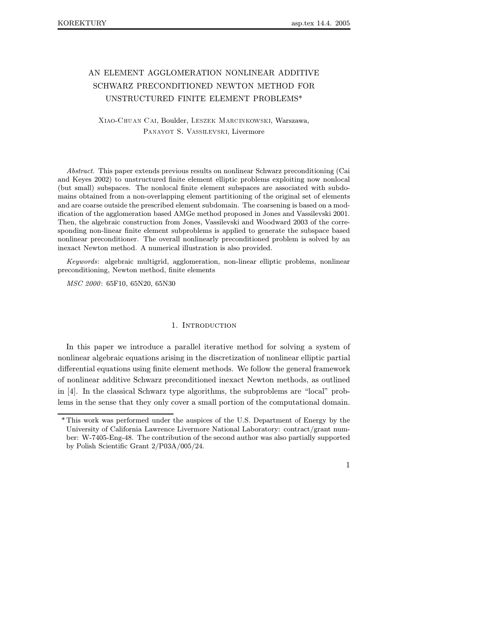# AN ELEMENT AGGLOMERATION NONLINEAR ADDITIVE SCHWARZ PRECONDITIONED NEWTON METHOD FOR UNSTRUCTURED FINITE ELEMENT PROBLEMS\*

XIAO-CHUAN CAI, Boulder, LESZEK MARCINKOWSKI, Warszawa, PANAYOT S. VASSILEVSKI, Livermore

Abstract. This paper extends previous results on nonlinear Schwarz preconditioning (Cai and Keyes 2002) to unstructured finite element elliptic problems exploiting now nonlocal (but small) subspaces. The nonlocal finite element subspaces are associated with subdomains obtained from a non-overlapping element partitioning of the original set of elements and are coarse outside the prescribed element subdomain. The coarsening is based on a modification of the agglomeration based AMGe method proposed in Jones and Vassilevski 2001. Then, the algebraic construction from Jones, Vassilevski and Woodward 2003 of the corresponding non-linear finite element subproblems is applied to generate the subspace based nonlinear preconditioner. The overall nonlinearly preconditioned problem is solved by an inexact Newton method. A numerical illustration is also provided.

Keywords: algebraic multigrid, agglomeration, non-linear elliptic problems, nonlinear preconditioning, Newton method, finite elements

MSC 2000: 65F10, 65N20, 65N30

## 1. INTRODUCTION

In this paper we introduce a parallel iterative method for solving a system of nonlinear algebraic equations arising in the discretization of nonlinear elliptic partial differential equations using finite element methods. We follow the general framework of nonlinear additive Schwarz preconditioned inexact Newton methods, as outlined in [4]. In the classical Schwarz type algorithms, the subproblems are "local" problems in the sense that they only cover a small portion of the computational domain.

<sup>\*</sup> This work was performed under the auspices of the U.S. Department of Energy by the University of California Lawrence Livermore National Laboratory: contract/grant number: W-7405-Eng-48. The contribution of the second author was also partially supported by Polish Scientific Grant 2/P03A/005/24.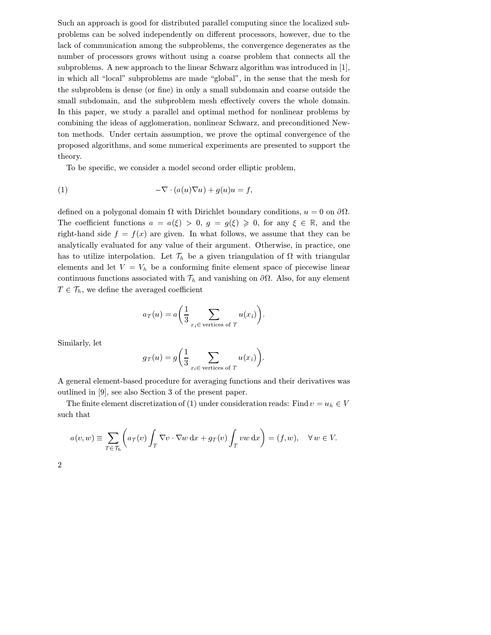Such an approach is good for distributed parallel computing since the localized subproblems can be solved independently on different processors, however, due to the lack of communication among the subproblems, the convergence degenerates as the number of processors grows without using a coarse problem that connects all the subproblems. A new approach to the linear Schwarz algorithm was introduced in [1], in which all "local" subproblems are made "global", in the sense that the mesh for the subproblem is dense (or fine) in only a small subdomain and coarse outside the small subdomain, and the subproblem mesh effectively covers the whole domain. In this paper, we study a parallel and optimal method for nonlinear problems by combining the ideas of agglomeration, nonlinear Schwarz, and preconditioned Newton methods. Under certain assumption, we prove the optimal convergence of the proposed algorithms, and some numerical experiments are presented to support the theory.

To be specific, we consider a model second order elliptic problem,

$$
(1) \qquad \qquad -\nabla \cdot (a(u)\nabla u) + g(u)u = f,
$$

defined on a polygonal domain  $\Omega$  with Dirichlet boundary conditions,  $u = 0$  on  $\partial \Omega$ . The coefficient functions  $a = a(\xi) > 0, g = g(\xi) \geq 0$ , for any  $\xi \in \mathbb{R}$ , and the right-hand side  $f = f(x)$  are given. In what follows, we assume that they can be analytically evaluated for any value of their argument. Otherwise, in practice, one has to utilize interpolation. Let  $\mathcal{T}_h$  be a given triangulation of  $\Omega$  with triangular elements and let  $V = V_h$  be a conforming finite element space of piecewise linear continuous functions associated with  $\mathcal{T}_h$  and vanishing on  $\partial\Omega$ . Also, for any element  $T \in \mathcal{T}_h$ , we define the averaged coefficient

$$
a_T(u) = a\left(\frac{1}{3} \sum_{x_i \in \text{ vertices of } T} u(x_i)\right).
$$

Similarly, let

$$
g_T(u) = g\left(\frac{1}{3} \sum_{x_i \in \text{ vertices of } T} u(x_i)\right).
$$

A general element-based procedure for averaging functions and their derivatives was outlined in [9], see also Section 3 of the present paper.

The finite element discretization of (1) under consideration reads: Find  $v = u_h \in V$ such that

$$
a(v, w) \equiv \sum_{T \in \mathcal{T}_h} \left( a_T(v) \int_T \nabla v \cdot \nabla w \, dx + g_T(v) \int_T v w \, dx \right) = (f, w), \quad \forall w \in V.
$$

|  | ٦<br>۰, |  |
|--|---------|--|
|  |         |  |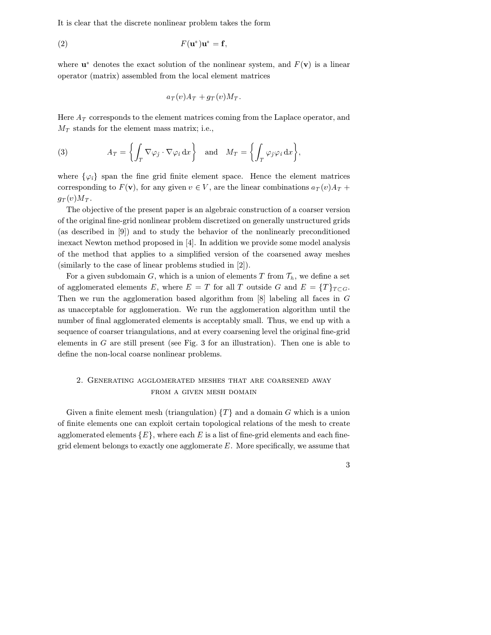It is clear that the discrete nonlinear problem takes the form

$$
F(\mathbf{u}^*)\mathbf{u}^* = \mathbf{f},
$$

where  $\mathbf{u}^*$  denotes the exact solution of the nonlinear system, and  $F(\mathbf{v})$  is a linear operator (matrix) assembled from the local element matrices

$$
a_T(v)A_T + g_T(v)M_T.
$$

Here  $A_T$  corresponds to the element matrices coming from the Laplace operator, and  $M_T$  stands for the element mass matrix; i.e.,

(3) 
$$
A_T = \left\{ \int_T \nabla \varphi_j \cdot \nabla \varphi_i \, dx \right\} \text{ and } M_T = \left\{ \int_T \varphi_j \varphi_i \, dx \right\},
$$

where  $\{\varphi_i\}$  span the fine grid finite element space. Hence the element matrices corresponding to  $F(\mathbf{v})$ , for any given  $v \in V$ , are the linear combinations  $a_T(v)A_T +$  $g_T(v)M_T$ .

The objective of the present paper is an algebraic construction of a coarser version of the original fine-grid nonlinear problem discretized on generally unstructured grids (as described in [9]) and to study the behavior of the nonlinearly preconditioned inexact Newton method proposed in [4]. In addition we provide some model analysis of the method that applies to a simplified version of the coarsened away meshes (similarly to the case of linear problems studied in [2]).

For a given subdomain G, which is a union of elements T from  $\mathcal{T}_h$ , we define a set of agglomerated elements E, where  $E = T$  for all T outside G and  $E = \{T\}_{T \subset G}$ . Then we run the agglomeration based algorithm from  $[8]$  labeling all faces in G as unacceptable for agglomeration. We run the agglomeration algorithm until the number of final agglomerated elements is acceptably small. Thus, we end up with a sequence of coarser triangulations, and at every coarsening level the original fine-grid elements in  $G$  are still present (see Fig. 3 for an illustration). Then one is able to define the non-local coarse nonlinear problems.

# 2. Generating agglomerated meshes that are coarsened away from a given mesh domain

Given a finite element mesh (triangulation)  $\{T\}$  and a domain G which is a union of finite elements one can exploit certain topological relations of the mesh to create agglomerated elements  $\{E\}$ , where each E is a list of fine-grid elements and each finegrid element belongs to exactly one agglomerate  $E$ . More specifically, we assume that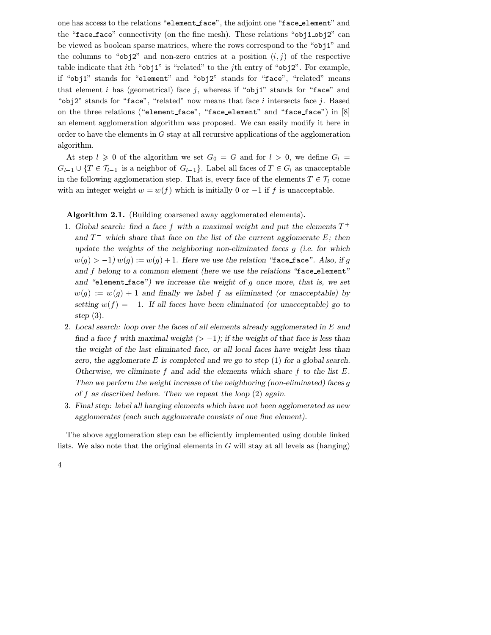one has access to the relations "element face", the adjoint one "face element" and the "face\_face" connectivity (on the fine mesh). These relations "obj1\_obj2" can be viewed as boolean sparse matrices, where the rows correspond to the "obj1" and the columns to " $obj2$ " and non-zero entries at a position  $(i, j)$  of the respective table indicate that ith "obj1" is "related" to the j<sup>th</sup> entry of "obj2". For example, if "obj1" stands for "element" and "obj2" stands for "face", "related" means that element *i* has (geometrical) face *j*, whereas if "obj1" stands for "face" and " $obj2$ " stands for "face", "related" now means that face  $i$  intersects face  $j$ . Based on the three relations ("element face", "face element" and "face face") in [8] an element agglomeration algorithm was proposed. We can easily modify it here in order to have the elements in  $G$  stay at all recursive applications of the agglomeration algorithm.

At step  $l \geq 0$  of the algorithm we set  $G_0 = G$  and for  $l > 0$ , we define  $G_l =$  $G_{l-1} \cup \{T \in \mathcal{T}_{l-1} \text{ is a neighbor of } G_{l-1}\}.$  Label all faces of  $T \in G_l$  as unacceptable in the following agglomeration step. That is, every face of the elements  $T \in \mathcal{T}_l$  come with an integer weight  $w = w(f)$  which is initially 0 or  $-1$  if f is unacceptable.

Algorithm 2.1. (Building coarsened away agglomerated elements).

- 1. Global search: find a face f with a maximal weight and put the elements  $T^+$ and  $T^-$  which share that face on the list of the current agglomerate E; then update the weights of the neighboring non-eliminated faces  $g$  (i.e. for which  $w(g) > -1) w(g) := w(g) + 1$ . Here we use the relation "face\_face". Also, if g and  $f$  belong to a common element (here we use the relations "face\_element" and "element\_face") we increase the weight of  $g$  once more, that is, we set  $w(g) := w(g) + 1$  and finally we label f as eliminated (or unacceptable) by setting  $w(f) = -1$ . If all faces have been eliminated (or unacceptable) go to step (3).
- 2. Local search: loop over the faces of all elements already agglomerated in  $E$  and find a face f with maximal weight  $(>-1)$ ; if the weight of that face is less than the weight of the last eliminated face, or all local faces have weight less than zero, the agglomerate  $E$  is completed and we go to step  $(1)$  for a global search. Otherwise, we eliminate  $f$  and add the elements which share  $f$  to the list  $E$ . Then we perform the weight increase of the neighboring (non-eliminated) faces  $g$ of  $f$  as described before. Then we repeat the loop  $(2)$  again.
- 3. Final step: label all hanging elements which have not been agglomerated as new agglomerates (each such agglomerate consists of one fine element).

The above agglomeration step can be efficiently implemented using double linked lists. We also note that the original elements in  $G$  will stay at all levels as (hanging)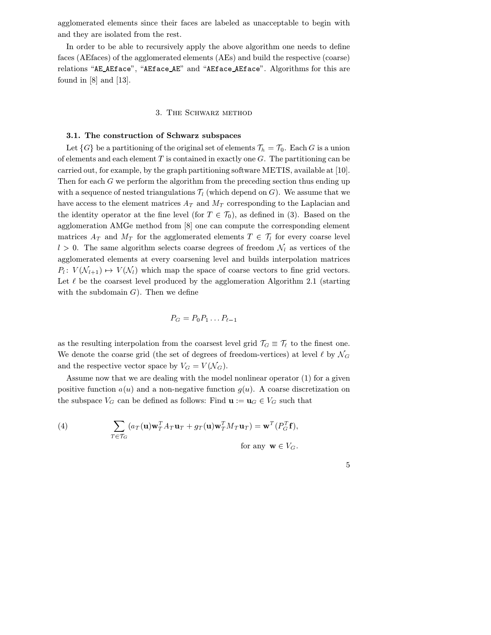agglomerated elements since their faces are labeled as unacceptable to begin with and they are isolated from the rest.

In order to be able to recursively apply the above algorithm one needs to define faces (AEfaces) of the agglomerated elements (AEs) and build the respective (coarse) relations "AE AEface", "AEface AE" and "AEface AEface". Algorithms for this are found in [8] and [13].

#### 3. The Schwarz method

# 3.1. The construction of Schwarz subspaces

Let  $\{G\}$  be a partitioning of the original set of elements  $\mathcal{T}_h = \mathcal{T}_0$ . Each G is a union of elements and each element T is contained in exactly one  $G$ . The partitioning can be carried out, for example, by the graph partitioning software METIS, available at [10]. Then for each  $G$  we perform the algorithm from the preceding section thus ending up with a sequence of nested triangulations  $\mathcal{T}_l$  (which depend on G). We assume that we have access to the element matrices  $A_T$  and  $M_T$  corresponding to the Laplacian and the identity operator at the fine level (for  $T \in \mathcal{T}_0$ ), as defined in (3). Based on the agglomeration AMGe method from [8] one can compute the corresponding element matrices  $A_T$  and  $M_T$  for the agglomerated elements  $T \in \mathcal{T}_l$  for every coarse level  $l > 0$ . The same algorithm selects coarse degrees of freedom  $\mathcal{N}_l$  as vertices of the agglomerated elements at every coarsening level and builds interpolation matrices  $P_l: V(\mathcal{N}_{l+1}) \to V(\mathcal{N}_l)$  which map the space of coarse vectors to fine grid vectors. Let  $\ell$  be the coarsest level produced by the agglomeration Algorithm 2.1 (starting with the subdomain  $G$ ). Then we define

$$
P_G = P_0 P_1 \dots P_{\ell-1}
$$

as the resulting interpolation from the coarsest level grid  $\mathcal{T}_G \equiv \mathcal{T}_\ell$  to the finest one. We denote the coarse grid (the set of degrees of freedom-vertices) at level  $\ell$  by  $\mathcal{N}_G$ and the respective vector space by  $V_G = V(\mathcal{N}_G)$ .

Assume now that we are dealing with the model nonlinear operator (1) for a given positive function  $a(u)$  and a non-negative function  $g(u)$ . A coarse discretization on the subspace  $V_G$  can be defined as follows: Find  $\mathbf{u} := \mathbf{u}_G \in V_G$  such that

(4) 
$$
\sum_{T \in \mathcal{T}_G} (a_T(\mathbf{u}) \mathbf{w}_T^T A_T \mathbf{u}_T + g_T(\mathbf{u}) \mathbf{w}_T^T M_T \mathbf{u}_T) = \mathbf{w}^T (P_G^T \mathbf{f}),
$$
  
for any  $\mathbf{w} \in V_G$ .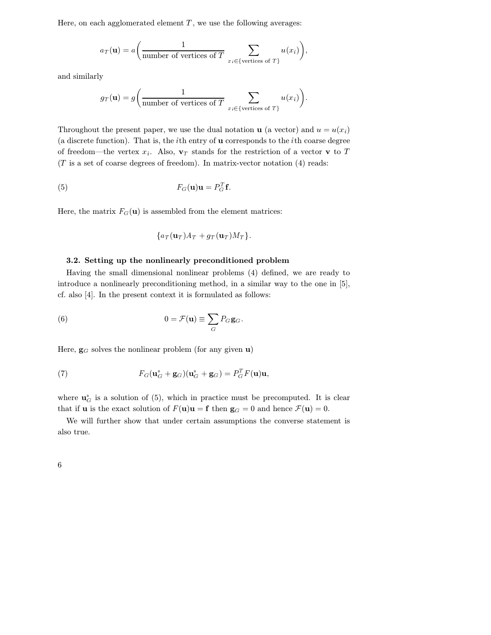Here, on each agglomerated element  $T$ , we use the following averages:

$$
a_T(\mathbf{u}) = a\bigg(\frac{1}{\text{number of vertices of }T}\sum_{x_i \in \{\text{vertices of }T\}} u(x_i)\bigg),\,
$$

and similarly

$$
g_T(\mathbf{u}) = g\bigg(\frac{1}{\text{number of vertices of }T} \sum_{x_i \in \{\text{vertices of }T\}} u(x_i)\bigg).
$$

Throughout the present paper, we use the dual notation **u** (a vector) and  $u = u(x_i)$ (a discrete function). That is, the  $i$ th entry of **u** corresponds to the  $i$ th coarse degree of freedom—the vertex  $x_i$ . Also,  $\mathbf{v}_T$  stands for the restriction of a vector **v** to T  $(T$  is a set of coarse degrees of freedom). In matrix-vector notation  $(4)$  reads:

$$
F_G(\mathbf{u})\mathbf{u} = P_G^T \mathbf{f}.
$$

Here, the matrix  $F_G(\mathbf{u})$  is assembled from the element matrices:

$$
\{a_T(\mathbf{u}_T)A_T+g_T(\mathbf{u}_T)M_T\}.
$$

## 3.2. Setting up the nonlinearly preconditioned problem

Having the small dimensional nonlinear problems (4) defined, we are ready to introduce a nonlinearly preconditioning method, in a similar way to the one in [5], cf. also [4]. In the present context it is formulated as follows:

(6) 
$$
0 = \mathcal{F}(\mathbf{u}) \equiv \sum_{G} P_G \mathbf{g}_G.
$$

Here,  $\mathbf{g}_G$  solves the nonlinear problem (for any given **u**)

(7) 
$$
F_G(\mathbf{u}_G^* + \mathbf{g}_G)(\mathbf{u}_G^* + \mathbf{g}_G) = P_G^T F(\mathbf{u})\mathbf{u},
$$

where  $\mathbf{u}_{G}^{*}$  is a solution of (5), which in practice must be precomputed. It is clear that if **u** is the exact solution of  $F(\mathbf{u})\mathbf{u} = \mathbf{f}$  then  $\mathbf{g}_G = 0$  and hence  $\mathcal{F}(\mathbf{u}) = 0$ .

We will further show that under certain assumptions the converse statement is also true.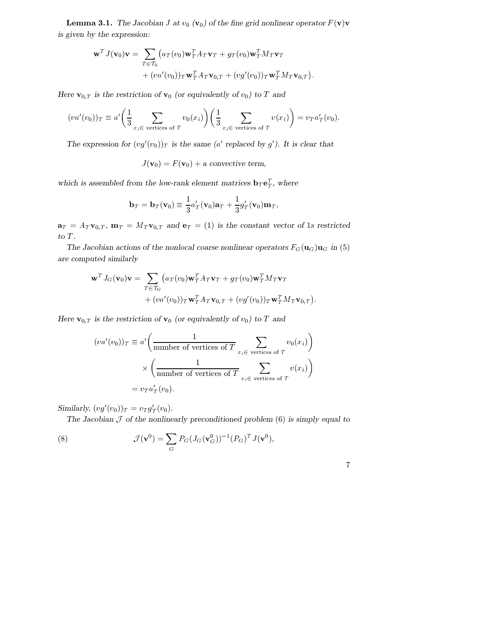**Lemma 3.1.** The Jacobian J at  $v_0$  (**v**<sub>0</sub>) of the fine grid nonlinear operator  $F(\mathbf{v})\mathbf{v}$ is given by the expression:

$$
\mathbf{w}^T J(\mathbf{v}_0) \mathbf{v} = \sum_{T \in \mathcal{T}_h} (a_T(v_0) \mathbf{w}_T^T A_T \mathbf{v}_T + g_T(v_0) \mathbf{w}_T^T M_T \mathbf{v}_T + (va'(v_0))_T \mathbf{w}_T^T A_T \mathbf{v}_{0,T} + (vg'(v_0))_T \mathbf{w}_T^T M_T \mathbf{v}_{0,T}).
$$

Here  $\mathbf{v}_{0,T}$  is the restriction of  $\mathbf{v}_0$  (or equivalently of  $v_0$ ) to T and

$$
(va'(v_0))_T \equiv a'\left(\frac{1}{3}\sum_{x_i \in \text{ vertices of } T} v_0(x_i)\right)\left(\frac{1}{3}\sum_{x_i \in \text{ vertices of } T} v(x_i)\right) = v_T a'_T(v_0).
$$

The expression for  $(vg'(v_0))_T$  is the same (a' replaced by g'). It is clear that

$$
J(\mathbf{v}_0) = F(\mathbf{v}_0) + a \text{ convective term},
$$

which is assembled from the low-rank element matrices  $\mathbf{b}_T \mathbf{e}_T^T$ , where

$$
\mathbf{b}_T = \mathbf{b}_T(\mathbf{v}_0) \equiv \frac{1}{3} a'_T(\mathbf{v}_0) \mathbf{a}_T + \frac{1}{3} g'_T(\mathbf{v}_0) \mathbf{m}_T,
$$

 $\mathbf{a}_T = A_T \mathbf{v}_{0,T}, \mathbf{m}_T = M_T \mathbf{v}_{0,T}$  and  $\mathbf{e}_T = (1)$  is the constant vector of 1s restricted to  $T$ . .

The Jacobian actions of the nonlocal coarse nonlinear operators  $F_G(\mathbf{u}_G)\mathbf{u}_G$  in (5) are computed similarly

$$
\mathbf{w}^T J_G(\mathbf{v}_0) \mathbf{v} = \sum_{T \in \mathcal{T}_G} (a_T(v_0) \mathbf{w}_T^T A_T \mathbf{v}_T + g_T(v_0) \mathbf{w}_T^T M_T \mathbf{v}_T + (va'(v_0))_T \mathbf{w}_T^T A_T \mathbf{v}_{0,T} + (vg'(v_0))_T \mathbf{w}_T^T M_T \mathbf{v}_{0,T}).
$$

Here  $\mathbf{v}_{0,T}$  is the restriction of  $\mathbf{v}_0$  (or equivalently of  $v_0$ ) to T and

$$
(va'(v_0))_T \equiv a' \left( \frac{1}{\text{number of vertices of } T} \sum_{x_i \in \text{ vertices of } T} v_0(x_i) \right)
$$
  
 
$$
\times \left( \frac{1}{\text{number of vertices of } T} \sum_{x_i \in \text{ vertices of } T} v(x_i) \right)
$$
  
= 
$$
v_T a'_T(v_0).
$$

Similarly,  $(vg'(v_0))_T = v_T g'_T(v_0)$ .

The Jacobian  $\mathcal J$  of the nonlinearly preconditioned problem (6) is simply equal to

(8) 
$$
\mathcal{J}(\mathbf{v}^0) = \sum_G P_G (J_G(\mathbf{v}_G^0))^{-1} (P_G)^T J(\mathbf{v}^0),
$$

|  | I<br>I | I |
|--|--------|---|
|  |        |   |
|  |        |   |
|  |        |   |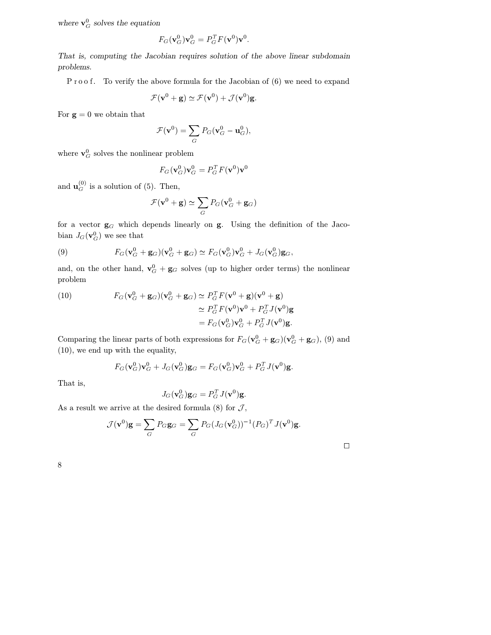where  $\mathbf{v}_G^0$  solves the equation

$$
F_G(\mathbf{v}_G^0)\mathbf{v}_G^0=P_G^TF(\mathbf{v}^0)\mathbf{v}^0.
$$

That is, computing the Jacobian requires solution of the above linear subdomain problems.

P roof. To verify the above formula for the Jacobian of (6) we need to expand

$$
\mathcal{F}(\mathbf{v}^0 + \mathbf{g}) \simeq \mathcal{F}(\mathbf{v}^0) + \mathcal{J}(\mathbf{v}^0)\mathbf{g}.
$$

For  $\mathbf{g} = 0$  we obtain that

$$
\mathcal{F}(\mathbf{v}^0) = \sum_G P_G(\mathbf{v}_G^0 - \mathbf{u}_G^0),
$$

where  $\mathbf{v}_G^0$  solves the nonlinear problem

$$
F_G(\mathbf{v}_G^0)\mathbf{v}_G^0=P_G^TF(\mathbf{v}^0)\mathbf{v}^0
$$

and  $\mathbf{u}_G^{(0)}$  is a solution of (5). Then,

$$
\mathcal{F}(\mathbf{v}^0 + \mathbf{g}) \simeq \sum_G P_G(\mathbf{v}_G^0 + \mathbf{g}_G)
$$

for a vector  $g_G$  which depends linearly on g. Using the definition of the Jacobian  $J_G(\mathbf{v}_G^0)$  we see that

(9) 
$$
F_G(\mathbf{v}_G^0 + \mathbf{g}_G)(\mathbf{v}_G^0 + \mathbf{g}_G) \simeq F_G(\mathbf{v}_G^0)\mathbf{v}_G^0 + J_G(\mathbf{v}_G^0)\mathbf{g}_G,
$$

and, on the other hand,  $\mathbf{v}_G^0 + \mathbf{g}_G$  solves (up to higher order terms) the nonlinear problem

(10) 
$$
F_G(\mathbf{v}_G^0 + \mathbf{g}_G)(\mathbf{v}_G^0 + \mathbf{g}_G) \simeq P_G^T F(\mathbf{v}^0 + \mathbf{g})(\mathbf{v}^0 + \mathbf{g})
$$

$$
\simeq P_G^T F(\mathbf{v}^0)\mathbf{v}^0 + P_G^T J(\mathbf{v}^0)\mathbf{g}
$$

$$
= F_G(\mathbf{v}_G^0)\mathbf{v}_G^0 + P_G^T J(\mathbf{v}^0)\mathbf{g}.
$$

Comparing the linear parts of both expressions for  $F_G(\mathbf{v}_G^0 + \mathbf{g}_G)(\mathbf{v}_G^0 + \mathbf{g}_G)$ , (9) and (10), we end up with the equality,

$$
F_G(\mathbf{v}^0_G)\mathbf{v}^0_G+J_G(\mathbf{v}^0_G)\mathbf{g}_G=F_G(\mathbf{v}^0_G)\mathbf{v}^0_G+P_G^TJ(\mathbf{v}^0)\mathbf{g}.
$$

That is,

$$
J_G(\mathbf{v}_G^0)\mathbf{g}_G = P_G^T J(\mathbf{v}^0)\mathbf{g}.
$$

As a result we arrive at the desired formula  $(8)$  for  $\mathcal{J},$ 

$$
\mathcal{J}(\mathbf{v}^0)\mathbf{g} = \sum_G P_G \mathbf{g}_G = \sum_G P_G (J_G(\mathbf{v}_G^0))^{-1} (P_G)^T J(\mathbf{v}^0)\mathbf{g}.
$$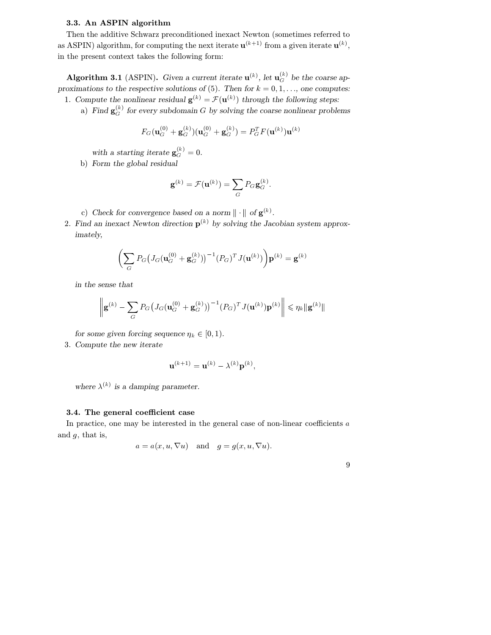# 3.3. An ASPIN algorithm

Then the additive Schwarz preconditioned inexact Newton (sometimes referred to as ASPIN) algorithm, for computing the next iterate  $\mathbf{u}^{(k+1)}$  from a given iterate  $\mathbf{u}^{(k)}$ , in the present context takes the following form:

**Algorithm 3.1** (ASPIN). Given a current iterate  $\mathbf{u}^{(k)}$ , let  $\mathbf{u}_G^{(k)}$  be the coarse approximations to the respective solutions of (5). Then for  $k = 0, 1, \ldots$ , one computes: 1. Compute the nonlinear residual  $\mathbf{g}^{(k)} = \mathcal{F}(\mathbf{u}^{(k)})$  through the following steps:

a) Find  $\mathbf{g}_{G}^{(k)}$  for every subdomain G by solving the coarse nonlinear problems

$$
F_G(\mathbf{u}_G^{(0)} + \mathbf{g}_G^{(k)})(\mathbf{u}_G^{(0)} + \mathbf{g}_G^{(k)}) = P_G^T F(\mathbf{u}^{(k)}) \mathbf{u}^{(k)}
$$

with a starting iterate  $\mathbf{g}_{G}^{(k)}=0$ .

b) Form the global residual

$$
\mathbf{g}^{(k)} = \mathcal{F}(\mathbf{u}^{(k)}) = \sum_{G} P_G \mathbf{g}_G^{(k)}.
$$

- c) Check for convergence based on a norm  $\| \cdot \|$  of  $\mathbf{g}^{(k)}$ .
- 2. Find an inexact Newton direction  $p^{(k)}$  by solving the Jacobian system approximately,

$$
\left(\sum_{G} P_G \big(J_G(\mathbf{u}_G^{(0)} + \mathbf{g}_G^{(k)})\big)^{-1} (P_G)^T J(\mathbf{u}^{(k)})\right) \mathbf{p}^{(k)} = \mathbf{g}^{(k)}
$$

in the sense that

$$
\left\| \mathbf{g}^{(k)} - \sum_{G} P_G \big( J_G(\mathbf{u}_G^{(0)} + \mathbf{g}_G^{(k)}) \big)^{-1} (P_G)^T J(\mathbf{u}^{(k)}) \mathbf{p}^{(k)} \right\| \leq \eta_k \| \mathbf{g}^{(k)} \|
$$

for some given forcing sequence  $\eta_k \in [0, 1)$ .

3. Compute the new iterate

$$
\mathbf{u}^{(k+1)} = \mathbf{u}^{(k)} - \lambda^{(k)} \mathbf{p}^{(k)},
$$

where  $\lambda^{(k)}$  is a damping parameter.

# 3.4. The general coefficient case

In practice, one may be interested in the general case of non-linear coefficients  $a$ and  $g$ , that is,

$$
a = a(x, u, \nabla u)
$$
 and  $g = g(x, u, \nabla u)$ .

|  | I  |        |
|--|----|--------|
|  | I  | I<br>I |
|  | ۰, |        |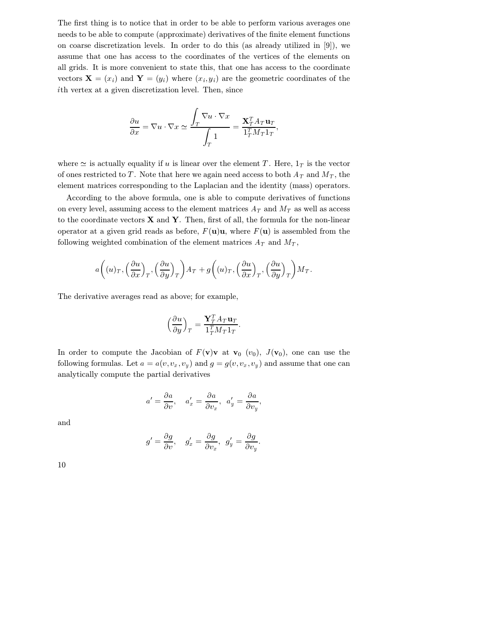The first thing is to notice that in order to be able to perform various averages one needs to be able to compute (approximate) derivatives of the finite element functions on coarse discretization levels. In order to do this (as already utilized in [9]), we assume that one has access to the coordinates of the vertices of the elements on all grids. It is more convenient to state this, that one has access to the coordinate vectors  $\mathbf{X} = (x_i)$  and  $\mathbf{Y} = (y_i)$  where  $(x_i, y_i)$  are the geometric coordinates of the th vertex at a given discretization level. Then, since

$$
\frac{\partial u}{\partial x} = \nabla u \cdot \nabla x \simeq \frac{\int_T \nabla u \cdot \nabla x}{\int_T 1} = \frac{\mathbf{X}_T^T A_T \mathbf{u}_T}{\mathbf{1}_T^T M_T \mathbf{1}_T},
$$

where  $\simeq$  is actually equality if u is linear over the element T. Here,  $1_T$  is the vector of ones restricted to T. Note that here we again need access to both  $A_T$  and  $M_T$ , the element matrices corresponding to the Laplacian and the identity (mass) operators.

According to the above formula, one is able to compute derivatives of functions on every level, assuming access to the element matrices  $A_T$  and  $M_T$  as well as access to the coordinate vectors  $X$  and  $Y$ . Then, first of all, the formula for the non-linear operator at a given grid reads as before,  $F(\mathbf{u})\mathbf{u}$ , where  $F(\mathbf{u})$  is assembled from the following weighted combination of the element matrices  $A_T$  and  $M_T$ ,

$$
a\left((u)_T, \left(\frac{\partial u}{\partial x}\right)_T, \left(\frac{\partial u}{\partial y}\right)_T\right)A_T + g\left((u)_T, \left(\frac{\partial u}{\partial x}\right)_T, \left(\frac{\partial u}{\partial y}\right)_T\right)M_T.
$$

The derivative averages read as above; for example,

$$
\Big(\frac{\partial u}{\partial y}\Big)_T = \frac{{\bf Y}_T^TA_T{\bf u}_T}{\mathbb 1_T^TM_T\mathbb 1_T}.
$$

the contract of the contract of the

In order to compute the Jacobian of  $F(\mathbf{v})\mathbf{v}$  at  $\mathbf{v}_0$  ( $v_0$ ),  $J(\mathbf{v}_0)$ , one can use the following formulas. Let  $a = a(v, v_x, v_y)$  and  $g = g(v, v_x, v_y)$  and assume that one can analytically compute the partial derivatives

$$
a' = \frac{\partial a}{\partial v}, \quad a_x' = \frac{\partial a}{\partial v_x}, \quad a_y' = \frac{\partial a}{\partial v_y},
$$

and

$$
g' = \frac{\partial g}{\partial v}, \quad g_x' = \frac{\partial g}{\partial v_x}, \quad g_y' = \frac{\partial g}{\partial v_y}
$$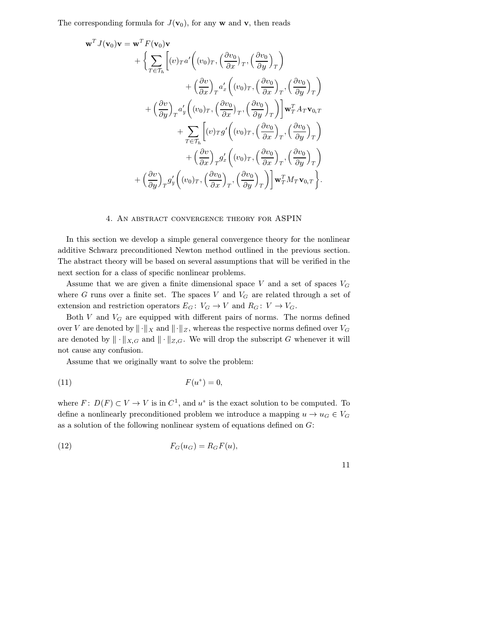The corresponding formula for  $J(\mathbf{v}_0)$ , for any w and v, then reads

$$
\mathbf{w}^{T} J(\mathbf{v}_{0})\mathbf{v} = \mathbf{w}^{T} F(\mathbf{v}_{0})\mathbf{v}
$$
  
+ 
$$
\left\{\sum_{T \in \mathcal{T}_{h}} \left[ (v)_{T} a' \left( (v_{0})_{T}, \left( \frac{\partial v_{0}}{\partial x} \right)_{T}, \left( \frac{\partial v_{0}}{\partial y} \right)_{T} \right) \right.\right.+ 
$$
\left( \frac{\partial v}{\partial x} \right)_{T} a'_{x} \left( (v_{0})_{T}, \left( \frac{\partial v_{0}}{\partial x} \right)_{T}, \left( \frac{\partial v_{0}}{\partial y} \right)_{T} \right) \right.+ 
$$
\left( \frac{\partial v}{\partial y} \right)_{T} a'_{y} \left( (v_{0})_{T}, \left( \frac{\partial v_{0}}{\partial x} \right)_{T}, \left( \frac{\partial v_{0}}{\partial y} \right)_{T} \right) \right] \mathbf{w}_{T}^{T} A_{T} \mathbf{v}_{0,T}
$$
  
+ 
$$
\sum_{T \in \mathcal{T}_{h}} \left[ (v)_{T} g' \left( (v_{0})_{T}, \left( \frac{\partial v_{0}}{\partial x} \right)_{T}, \left( \frac{\partial v_{0}}{\partial y} \right)_{T} \right) \right.+ 
$$
\left( \frac{\partial v}{\partial x} \right)_{T} g'_{x} \left( (v_{0})_{T}, \left( \frac{\partial v_{0}}{\partial x} \right)_{T}, \left( \frac{\partial v_{0}}{\partial y} \right)_{T} \right)
$$
  
+ 
$$
\left( \frac{\partial v}{\partial y} \right)_{T} g'_{y} \left( (v_{0})_{T}, \left( \frac{\partial v_{0}}{\partial x} \right)_{T}, \left( \frac{\partial v_{0}}{\partial y} \right)_{T} \right) \right] \mathbf{w}_{T}^{T} M_{T} \mathbf{v}_{0,T} \right\}.
$$
$$
$$
$$

#### 4. An abstract convergence theory for ASPIN

In this section we develop a simple general convergence theory for the nonlinear additive Schwarz preconditioned Newton method outlined in the previous section. The abstract theory will be based on several assumptions that will be verified in the next section for a class of specific nonlinear problems.

Assume that we are given a finite dimensional space  $V$  and a set of spaces  $V_G$ where  $G$  runs over a finite set. The spaces  $V$  and  $V_G$  are related through a set of extension and restriction operators  $E_G: V_G \to V$  and  $R_G: V \to V_G$ .

Both  $V$  and  $V_G$  are equipped with different pairs of norms. The norms defined over V are denoted by  $\|\cdot\|_X$  and  $\|\cdot\|_Z$ , whereas the respective norms defined over  $V_G$ are denoted by  $\|\cdot\|_{X,G}$  and  $\|\cdot\|_{Z,G}$ . We will drop the subscript G whenever it will not cause any confusion.

Assume that we originally want to solve the problem:

$$
F(u^*) = 0,
$$

where  $F: D(F) \subset V \to V$  is in  $C^1$ , and  $u^*$  is the exact solution to be computed. To define a nonlinearly preconditioned problem we introduce a mapping  $u \to u_G \in V_G$ as a solution of the following nonlinear system of equations defined on  $G$ :

$$
(12) \t\t F_G(u_G) = R_G F(u),
$$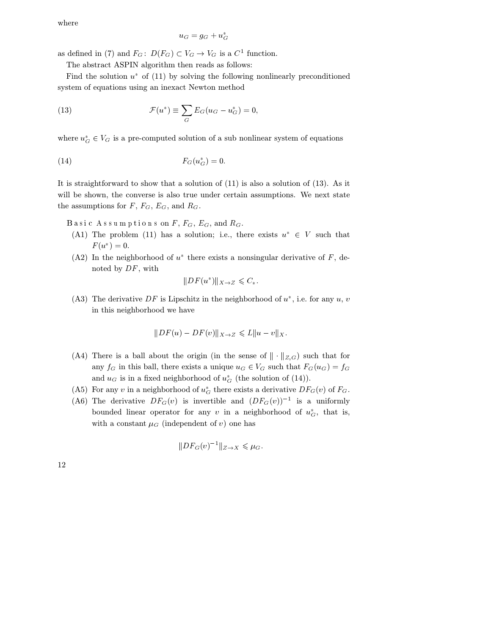where

$$
u_G = g_G + u_G^*
$$

as defined in (7) and  $F_G: D(F_G) \subset V_G \to V_G$  is a  $C^1$  function.

The abstract ASPIN algorithm then reads as follows:

Find the solution  $u^*$  of (11) by solving the following nonlinearly preconditioned system of equations using an inexact Newton method

(13) 
$$
\mathcal{F}(u^*) \equiv \sum_G E_G(u_G - u_G^*) = 0,
$$

where  $u_G^* \in V_G$  is a pre-computed solution of a sub nonlinear system of equations

$$
F_G(u_G^*) = 0.
$$

It is straightforward to show that a solution of (11) is also a solution of (13). As it will be shown, the converse is also true under certain assumptions. We next state the assumptions for  $F, F_G, E_G$ , and  $R_G$ .

Basic Assumptions on  $F, F_G, E_G$ , and  $R_G$ .

- (A1) The problem (11) has a solution; i.e., there exists  $u^* \in V$  such that  $F(u^*) = 0.$
- (A2) In the neighborhood of  $u^*$  there exists a nonsingular derivative of F, denoted by  $DF$ , with

$$
||DF(u^*)||_{X\to Z} \leqslant C_*.
$$

(A3) The derivative DF is Lipschitz in the neighborhood of  $u^*$ , i.e. for any  $u, v$ in this neighborhood we have

$$
||DF(u) - DF(v)||_{X \to Z} \leq L||u - v||_X.
$$

- (A4) There is a ball about the origin (in the sense of  $\|\cdot\|_{Z,G}$ ) such that for any  $f_G$  in this ball, there exists a unique  $u_G \in V_G$  such that  $F_G(u_G) = f_G$ and  $u_G$  is in a fixed neighborhood of  $u_G^*$  (the solution of (14)).
- (A5) For any v in a neighborhood of  $u_G^*$  there exists a derivative  $DF_G(v)$  of  $F_G$ .
- (A6) The derivative  $DF_G(v)$  is invertible and  $(DF_G(v))^{-1}$  is a uniformly bounded linear operator for any v in a neighborhood of  $u_G^*$ , that is, with a constant  $\mu_G$  (independent of v) one has

$$
||DF_G(v)^{-1}||_{Z\to X} \leq \mu_G.
$$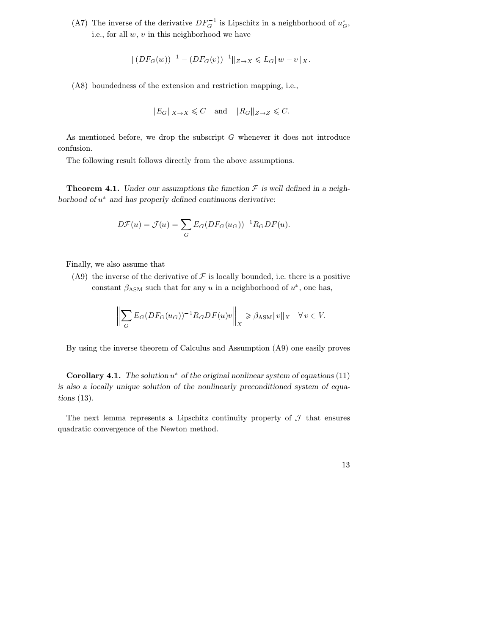(A7) The inverse of the derivative  $DF_G^{-1}$  is Lipschitz in a neighborhood of  $u_G^*$ , i.e., for all  $w, v$  in this neighborhood we have

$$
||(DF_G(w))^{-1} - (DF_G(v))^{-1}||_{Z \to X} \leq L_G ||w - v||_X.
$$

(A8) boundedness of the extension and restriction mapping, i.e.,

$$
||E_G||_{X\to X} \leq C
$$
 and  $||R_G||_{Z\to Z} \leq C$ .

As mentioned before, we drop the subscript  $G$  whenever it does not introduce confusion.

The following result follows directly from the above assumptions.

**Theorem 4.1.** Under our assumptions the function  $\mathcal F$  is well defined in a neighborhood of  $u^*$  and has properly defined continuous derivative:

$$
D\mathcal{F}(u) = \mathcal{J}(u) = \sum_G E_G (DF_G(u_G))^{-1} R_G DF(u).
$$

Finally, we also assume that

(A9) the inverse of the derivative of  $\mathcal F$  is locally bounded, i.e. there is a positive constant  $\beta_{\text{ASM}}$  such that for any u in a neighborhood of  $u^*$ , one has,

$$
\left\| \sum_{G} E_G (DF_G(u_G))^{-1} R_G DF(u) v \right\|_X \geq \beta_{\text{ASM}} \|v\|_X \quad \forall \, v \in V.
$$

By using the inverse theorem of Calculus and Assumption (A9) one easily proves

**Corollary 4.1.** The solution  $u^*$  of the original nonlinear system of equations (11) is also a locally unique solution of the nonlinearly preconditioned system of equations (13).

The next lemma represents a Lipschitz continuity property of  $\mathcal J$  that ensures quadratic convergence of the Newton method.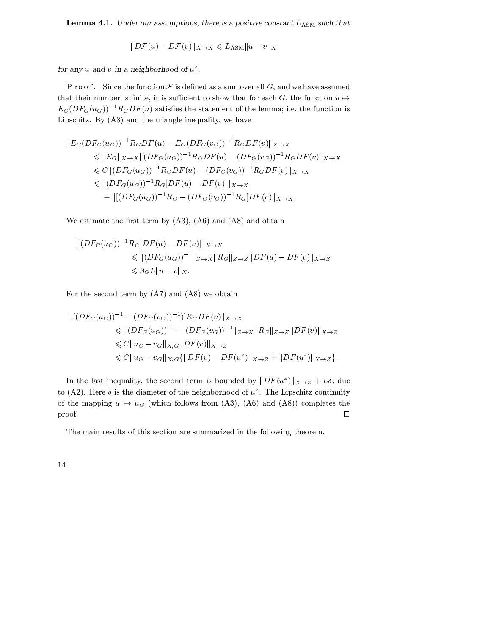**Lemma 4.1.** Under our assumptions, there is a positive constant  $L_{\text{ASM}}$  such that

$$
||D\mathcal{F}(u) - D\mathcal{F}(v)||_{X \to X} \leq L_{\text{ASM}} ||u - v||_X
$$

for any  $u$  and  $v$  in a neighborhood of  $u^*$ .

P r o o f. Since the function  $\mathcal F$  is defined as a sum over all G, and we have assumed that their number is finite, it is sufficient to show that for each G, the function  $u \mapsto$  $E_G(DF_G(u_G))^{-1}R_GDF(u)$  satisfies the statement of the lemma; i.e. the function is Lipschitz. By (A8) and the triangle inequality, we have

$$
||E_G(DF_G(u_G))^{-1}R_GDF(u) - E_G(DF_G(v_G))^{-1}R_GDF(v)||_{X \to X}
$$
  
\n
$$
\leq ||E_G||_{X \to X}||(DF_G(u_G))^{-1}R_GDF(u) - (DF_G(v_G))^{-1}R_GDF(v)||_{X \to X}
$$
  
\n
$$
\leq C||(DF_G(u_G))^{-1}R_GDF(u) - (DF_G(v_G))^{-1}R_GDF(v)||_{X \to X}
$$
  
\n
$$
\leq ||(DF_G(u_G))^{-1}R_G[DF(u) - DF(v)]||_{X \to X}
$$
  
\n
$$
+ ||[(DF_G(u_G))^{-1}R_G - (DF_G(v_G))^{-1}R_G]DF(v)||_{X \to X}.
$$

We estimate the first term by (A3), (A6) and (A8) and obtain

$$
|| (DF_G(u_G))^{-1} R_G[DF(u) - DF(v)] ||_{X \to X}
$$
  
\$\leq\$  $|| (DF_G(u_G))^{-1} ||_{Z \to X} || R_G ||_{Z \to Z} || DF(u) - DF(v) ||_{X \to Z}$   
\$\leq \beta\_G L || u - v ||\_{X}.

For the second term by (A7) and (A8) we obtain

$$
\begin{aligned} \|[DF_G(u_G))^{-1} - (DF_G(v_G))^{-1}]\|R_GDF(v)\|_{X \to X} \\ &\leq \| (DF_G(u_G))^{-1} - (DF_G(v_G))^{-1} \|_{Z \to X} \|R_G\|_{Z \to Z} \|DF(v)\|_{X \to Z} \\ &\leq C \|u_G - v_G\|_{X,G} \|DF(v)\|_{X \to Z} \\ &\leq C \|u_G - v_G\|_{X,G} \{\|DF(v) - DF(u^*)\|_{X \to Z} + \|DF(u^*)\|_{X \to Z} \}. \end{aligned}
$$

In the last inequality, the second term is bounded by  $||DF(u^*)||_{X\to Z} + L\delta$ , due to (A2). Here  $\delta$  is the diameter of the neighborhood of  $u^*$ . The Lipschitz continuity of the mapping  $u \mapsto u_G$  (which follows from (A3), (A6) and (A8)) completes the  $\Box$ 

The main results of this section are summarized in the following theorem.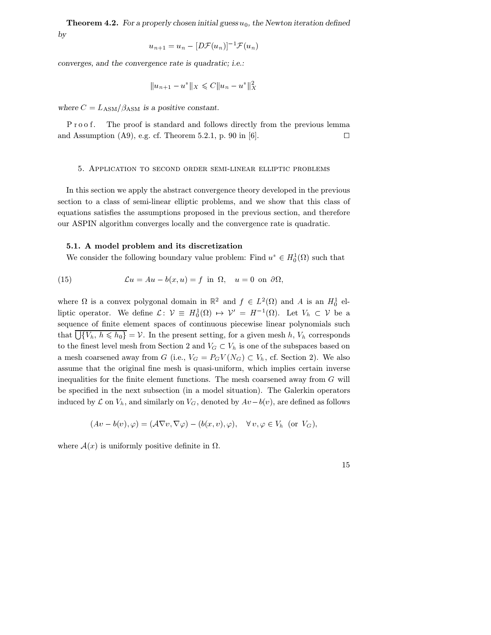**Theorem 4.2.** For a properly chosen initial guess  $u_0$ , the Newton iteration defined by

$$
u_{n+1} = u_n - [D\mathcal{F}(u_n)]^{-1} \mathcal{F}(u_n)
$$

converges, and the convergence rate is quadratic; i.e.:

$$
||u_{n+1} - u^*||_X \leqslant C||u_n - u^*||_X^2
$$

where  $C = L_{\text{ASM}} / \beta_{\text{ASM}}$  is a positive constant.

. The proof is standard and follows directly from the previous lemma and Assumption (A9), e.g. cf. Theorem 5.2.1, p. 90 in [6].  $\Box$ 

#### 5. Application to second order semi-linear elliptic problems

In this section we apply the abstract convergence theory developed in the previous section to a class of semi-linear elliptic problems, and we show that this class of equations satisfies the assumptions proposed in the previous section, and therefore our ASPIN algorithm converges locally and the convergence rate is quadratic.

#### 5.1. A model problem and its discretization

We consider the following boundary value problem: Find  $u^* \in H_0^1(\Omega)$  such that

(15) 
$$
\mathcal{L}u = Au - b(x, u) = f \text{ in } \Omega, \quad u = 0 \text{ on } \partial\Omega,
$$

where  $\Omega$  is a convex polygonal domain in  $\mathbb{R}^2$  and  $f \in L^2(\Omega)$  and A is an  $H_0^1$  elliptic operator. We define  $\mathcal{L}$ :  $\mathcal{V} \equiv H_0^1(\Omega) \mapsto \mathcal{V}' = H^{-1}(\Omega)$ . Let  $V_h \subset \mathcal{V}$  be a sequence of finite element spaces of continuous piecewise linear polynomials such that  $\bigcup \{V_h, h \leqslant h_0\} = V$ . In the present setting, for a given mesh  $h, V_h$  corresponds to the finest level mesh from Section 2 and  $V_G \subset V_h$  is one of the subspaces based on a mesh coarsened away from G (i.e.,  $V_G = P_G V(N_G) \subset V_h$ , cf. Section 2). We also assume that the original fine mesh is quasi-uniform, which implies certain inverse inequalities for the finite element functions. The mesh coarsened away from  $G$  will be specified in the next subsection (in a model situation). The Galerkin operators induced by  $\mathcal L$  on  $V_h$ , and similarly on  $V_G$ , denoted by  $Av-b(v)$ , are defined as follows

$$
(Av - b(v), \varphi) = (\mathcal{A}\nabla v, \nabla \varphi) - (b(x, v), \varphi), \quad \forall v, \varphi \in V_h \text{ (or } V_G),
$$

where  $\mathcal{A}(x)$  is uniformly positive definite in  $\Omega$ .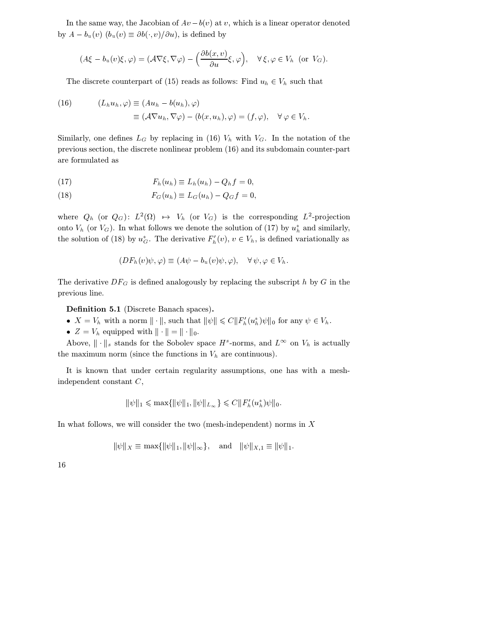In the same way, the Jacobian of  $Av - b(v)$  at v, which is a linear operator denoted by  $A - b_u(v)$   $(b_u(v) \equiv \partial b(v) / \partial u)$ , is defined by

$$
(A\xi - b_u(v)\xi, \varphi) = (\mathcal{A}\nabla\xi, \nabla\varphi) - \left(\frac{\partial b(x, v)}{\partial u}\xi, \varphi\right), \quad \forall \xi, \varphi \in V_h \text{ (or } V_G).
$$

The discrete counterpart of (15) reads as follows: Find  $u_h \in V_h$  such that

(16) 
$$
(L_h u_h, \varphi) \equiv (Au_h - b(u_h), \varphi)
$$

$$
\equiv (\mathcal{A} \nabla u_h, \nabla \varphi) - (b(x, u_h), \varphi) = (f, \varphi), \quad \forall \varphi \in V_h.
$$

Similarly, one defines  $L_G$  by replacing in (16)  $V_h$  with  $V_G$ . In the notation of the previous section, the discrete nonlinear problem (16) and its subdomain counter-part are formulated as

$$
F_h(u_h) \equiv L_h(u_h) - Q_h f = 0,
$$

$$
(18) \t\t F_G(u_h) \equiv L_G(u_h) - Q_G f = 0,
$$

where  $Q_h$  (or  $Q_G$ ):  $L^2(\Omega) \rightarrow V_h$  (or  $V_G$ ) is the corresponding  $L^2$ -projection onto  $V_h$  (or  $V_G$ ). In what follows we denote the solution of (17) by  $u_h^*$  and similarly, the solution of (18) by  $u_G^*$ . The derivative  $F'_h(v)$ ,  $v \in V_h$ , is defined variationally as

$$
(DF_h(v)\psi, \varphi) \equiv (A\psi - b_u(v)\psi, \varphi), \quad \forall \psi, \varphi \in V_h.
$$

The derivative  $DF_G$  is defined analogously by replacing the subscript  $h$  by  $G$  in the previous line.

Definition 5.1 (Discrete Banach spaces).

•  $X = V_h$  with a norm  $\|\cdot\|$ , such that  $\|\psi\| \leq C \|F'_h(u_h^*)\psi\|_0$  for any  $\psi \in V_h$ .

•  $Z = V_h$  equipped with  $\|\cdot\| = \|\cdot\|_0$ .

Above,  $\|\cdot\|_s$  stands for the Sobolev space  $H^s$ -norms, and  $L^\infty$  on  $V_h$  is actually the maximum norm (since the functions in  $V_h$  are continuous).

It is known that under certain regularity assumptions, one has with a meshindependent constant  $C$ ,

$$
\|\psi\|_1 \leq \max\{\|\psi\|_1, \|\psi\|_{L_{\infty}}\} \leqslant C \|F'_h(u_h^*)\psi\|_0.
$$

In what follows, we will consider the two (mesh-independent) norms in  $X$ 

$$
\|\psi\|_X \equiv \max\{\|\psi\|_1, \|\psi\|_\infty\}, \quad \text{and} \quad \|\psi\|_{X,1} \equiv \|\psi\|_1.
$$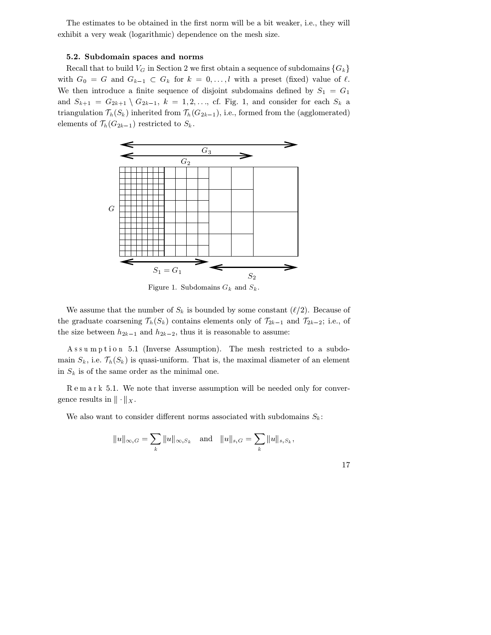The estimates to be obtained in the first norm will be a bit weaker, i.e., they will exhibit a very weak (logarithmic) dependence on the mesh size.

# 5.2. Subdomain spaces and norms

Recall that to build  $V_G$  in Section 2 we first obtain a sequence of subdomains  $\{G_k\}$ with  $G_0 = G$  and  $G_{k-1} \subset G_k$  for  $k = 0, \ldots, l$  with a preset (fixed) value of  $\ell$ . We then introduce a finite sequence of disjoint subdomains defined by  $S_1 = G_1$ and  $S_{k+1} = G_{2k+1} \setminus G_{2k-1}$ ,  $k = 1, 2, \ldots$ , cf. Fig. 1, and consider for each  $S_k$  a triangulation  $\mathcal{T}_h(S_k)$  inherited from  $\mathcal{T}_h(G_{2k-1}),$  i.e., formed from the (agglomerated) elements of  $\mathcal{T}_h(G_{2k-1})$  restricted to  $S_k$ .



Figure 1. Subdomains  $G_k$  and  $S_k$ .

We assume that the number of  $S_k$  is bounded by some constant  $(\ell/2)$ . Because of the graduate coarsening  $\mathcal{T}_h(S_k)$  contains elements only of  $\mathcal{T}_{2k-1}$  and  $\mathcal{T}_{2k-2}$ ; i.e., of the size between  $h_{2k-1}$  and  $h_{2k-2}$ , thus it is reasonable to assume:

A ssumption 5.1 (Inverse Assumption). The mesh restricted to a subdomain  $S_k$ , i.e.  $\mathcal{T}_h(S_k)$  is quasi-uniform. That is, the maximal diameter of an element in  $S_k$  is of the same order as the minimal one.

 5.1. We note that inverse assumption will be needed only for convergence results in  $\|\cdot\|_X$ .

We also want to consider different norms associated with subdomains  $S_k$ :

$$
||u||_{\infty,G} = \sum_{k} ||u||_{\infty,S_k}
$$
 and  $||u||_{s,G} = \sum_{k} ||u||_{s,S_k}$ ,

$$
17\,
$$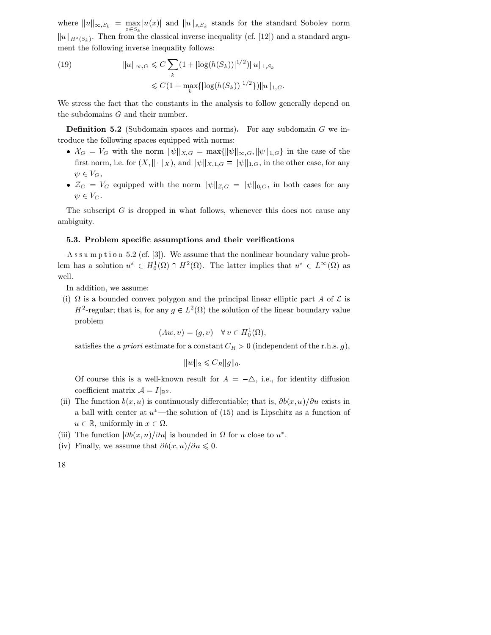where  $||u||_{\infty, S_k} = \max_{x \in S_k} |u(x)|$  and  $||u||_{s, S_k}$  stands for the standard Sobolev norm  $||u||_{H^{s}(S_k)}$ . Then from the classical inverse inequality (cf. [12]) and a standard argument the following inverse inequality follows:

 $||u||_{\infty,G} \leq C \sum (1+|\log(h(S_k))|^{1/2})||u||$ (19)  $||u||_{\infty,G} \leq C \sum (1+|\log(h(S_k))|^{1/2})||u||_{1,S_k}$  $\leqslant C(1+\max_k\{|\log(h(S_k))|^{1/2}\})||u||_{1,G}.$ 

We stress the fact that the constants in the analysis to follow generally depend on the subdomains  $G$  and their number.

**Definition 5.2** (Subdomain spaces and norms). For any subdomain  $G$  we introduce the following spaces equipped with norms:

- $\mathcal{X}_G = V_G$  with the norm  $\|\psi\|_{X,G} = \max\{\|\psi\|_{\infty,G}, \|\psi\|_{1,G}\}\$  in the case of the first norm, i.e. for  $(X, \|\cdot\|_X)$ , and  $\|\psi\|_{X,1,G} \equiv \|\psi\|_{1,G}$ , in the other case, for any  $\psi \in V_G,$
- $\mathcal{Z}_G = V_G$  equipped with the norm  $\|\psi\|_{Z,G} = \|\psi\|_{0,G}$ , in both cases for any  $\psi \in V_G$ .

The subscript  $G$  is dropped in what follows, whenever this does not cause any ambiguity.

# 5.3. Problem specific assumptions and their verifications

A ssum ption 5.2 (cf. [3]). We assume that the nonlinear boundary value problem has a solution  $u^* \in H_0^1(\Omega) \cap H^2(\Omega)$ . The latter implies that  $u^* \in L^{\infty}(\Omega)$  as well.

In addition, we assume:

(i)  $\Omega$  is a bounded convex polygon and the principal linear elliptic part A of  $\mathcal L$  is  $H^2$ -regular; that is, for any  $g \in L^2(\Omega)$  the solution of the linear boundary value problem

$$
(Aw,v)=(g,v)\quad\forall\,v\in H^1_0(\Omega),
$$

satisfies the *a priori* estimate for a constant  $C_R > 0$  (independent of the r.h.s. g),

$$
||w||_2 \leqslant C_R ||g||_0
$$

Of course this is a well-known result for  $A = -\Delta$ , i.e., for identity diffusion coefficient matrix  $\mathcal{A} = I|_{\mathbb{R}^2}$ .

- (ii) The function  $b(x, u)$  is continuously differentiable; that is,  $\partial b(x, u)/\partial u$  exists in a ball with center at  $u^*$ —the solution of (15) and is Lipschitz as a function of  $u \in \mathbb{R}$ , uniformly in  $x \in \Omega$ .
- (iii) The function  $|\partial b(x, u)/\partial u|$  is bounded in  $\Omega$  for u close to  $u^*$ .
- (iv) Finally, we assume that  $\partial b(x, u)/\partial u \leqslant 0$ .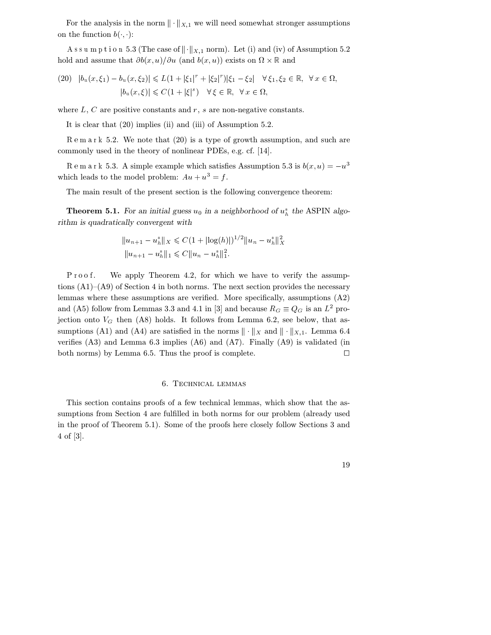For the analysis in the norm  $\|\cdot\|_{X,1}$  we will need somewhat stronger assumptions on the function  $b($ ,  $)$ :

A s s u m p t i o n 5.3 (The case of  $\|\cdot\|_{X,1}$  norm). Let (i) and (iv) of Assumption 5.2 hold and assume that  $\partial b(x, u)/\partial u$  (and  $b(x, u)$ ) exists on  $\Omega \times \mathbb{R}$  and

$$
(20) \quad |b_u(x,\xi_1) - b_u(x,\xi_2)| \le L(1 + |\xi_1|^r + |\xi_2|^r)|\xi_1 - \xi_2| \quad \forall \xi_1, \xi_2 \in \mathbb{R}, \quad \forall x \in \Omega, \\
|b_u(x,\xi)| \le C(1 + |\xi|^s) \quad \forall \xi \in \mathbb{R}, \quad \forall x \in \Omega,
$$

where  $L, C$  are positive constants and  $r, s$  are non-negative constants.

It is clear that (20) implies (ii) and (iii) of Assumption 5.2.

 5.2. We note that (20) is a type of growth assumption, and such are commonly used in the theory of nonlinear PDEs, e.g. cf. [14].

R e m a r k 5.3. A simple example which satisfies Assumption 5.3 is  $b(x, u) = -u^3$ which leads to the model problem:  $Au + u^3 = f$ .

The main result of the present section is the following convergence theorem:

**Theorem 5.1.** For an initial guess  $u_0$  in a neighborhood of  $u_h^*$  the ASPIN algorithm is quadratically convergent with

$$
||u_{n+1} - u_h^*||_X \leq C(1 + |\log(h)|)^{1/2} ||u_n - u_h^*||_X^2
$$
  

$$
||u_{n+1} - u_h^*||_1 \leq C||u_n - u_h^*||_1^2.
$$

We apply Theorem 4.2, for which we have to verify the assumptions  $(A1)$ – $(A9)$  of Section 4 in both norms. The next section provides the necessary lemmas where these assumptions are verified. More specifically, assumptions (A2) and (A5) follow from Lemmas 3.3 and 4.1 in [3] and because  $R_G \equiv Q_G$  is an  $L^2$  projection onto  $V_G$  then (A8) holds. It follows from Lemma 6.2, see below, that assumptions (A1) and (A4) are satisfied in the norms  $\|\cdot\|_X$  and  $\|\cdot\|_{X,1}$ . Lemma 6.4 verifies (A3) and Lemma 6.3 implies (A6) and (A7). Finally (A9) is validated (in both norms) by Lemma 6.5. Thus the proof is complete.  $\Box$ 

# 6. Technical lemmas

This section contains proofs of a few technical lemmas, which show that the assumptions from Section 4 are fulfilled in both norms for our problem (already used in the proof of Theorem 5.1). Some of the proofs here closely follow Sections 3 and 4 of [3].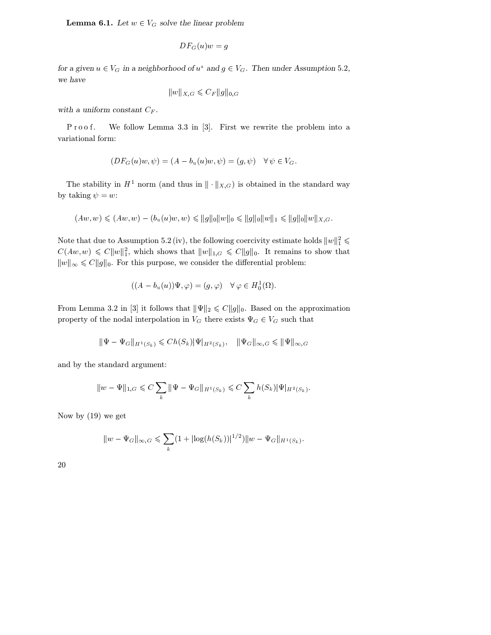**Lemma 6.1.** Let  $w \in V_G$  solve the linear problem

$$
DF_G(u)w = g
$$

for a given  $u \in V_G$  in a neighborhood of  $u^*$  and  $g \in V_G$ . Then under Assumption 5.2, we have

$$
||w||_{X,G} \leqslant C_F ||g||_{0,G}
$$

with a uniform constant  $C_F$ .

. We follow Lemma 3.3 in [3]. First we rewrite the problem into a variational form:

$$
(DF_G(u)w, \psi) = (A - b_u(u)w, \psi) = (g, \psi) \quad \forall \psi \in V_G.
$$

The stability in  $H^1$  norm (and thus in  $\|\cdot\|_{X,G}$ ) is obtained in the standard way by taking  $\psi = w$ :

$$
(Aw, w) \leq (Aw, w) - (b_u(u)w, w) \leq ||g||_0 ||w||_0 \leq ||g||_0 ||w||_1 \leq ||g||_0 ||w||_{X,G}.
$$

Note that due to Assumption 5.2 (iv), the following coercivity estimate holds  $||w||_1^2 \leq$  $C(Aw, w) \leq C ||w||_1^2$ , which shows that  $||w||_{1, G} \leq C ||g||_0$ . It remains to show that  $||w||_{\infty} \leqslant C||g||_{0}$ . For this purpose, we consider the differential problem:

$$
((A - b_u(u))\Psi, \varphi) = (g, \varphi) \quad \forall \varphi \in H_0^1(\Omega).
$$

From Lemma 3.2 in [3] it follows that  $||\Psi||_2 \leq C||g||_0$ . Based on the approximation property of the nodal interpolation in  $V_G$  there exists  $\Psi_G \in V_G$  such that

$$
\|\Psi - \Psi_G\|_{H^1(S_k)} \leqslant Ch(S_k) \|\Psi|_{H^2(S_k)}, \quad \|\Psi_G\|_{\infty, G} \leqslant \|\Psi\|_{\infty, G}
$$

and by the standard argument:

$$
||w - \Psi||_{1,G} \leq C \sum_{k} ||\Psi - \Psi_G||_{H^1(S_k)} \leq C \sum_{k} h(S_k) |\Psi|_{H^2(S_k)}.
$$

Now by (19) we get

$$
||w - \Psi_G||_{\infty, G} \leqslant \sum_k (1 + |\log(h(S_k))|^{1/2}) ||w - \Psi_G||_{H^1(S_k)}.
$$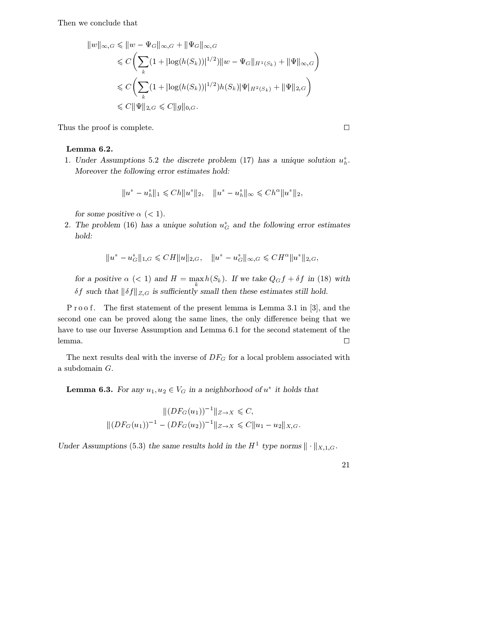Then we conclude that

$$
||w||_{\infty,G} \leq ||w - \Psi_G||_{\infty,G} + ||\Psi_G||_{\infty,G}
$$
  
\n
$$
\leq C \left( \sum_k (1 + |\log(h(S_k))|^{1/2}) ||w - \Psi_G||_{H^1(S_k)} + ||\Psi||_{\infty,G} \right)
$$
  
\n
$$
\leq C \left( \sum_k (1 + |\log(h(S_k))|^{1/2}) h(S_k) |\Psi|_{H^2(S_k)} + ||\Psi||_{2,G} \right)
$$
  
\n
$$
\leq C ||\Psi||_{2,G} \leq C ||g||_{0,G}.
$$

Thus the proof is complete.  $\hfill \square$ 

# Lemma 6.2.

1. Under Assumptions 5.2 the discrete problem (17) has a unique solution  $u_h^*$ . Moreover the following error estimates hold:

$$
||u^*-u_h^*||_1 \leqslant Ch||u^*||_2, \quad ||u^*-u_h^*||_{\infty} \leqslant Ch^{\alpha}||u^*||_2,
$$

for some positive  $\alpha$  (< 1).

2. The problem (16) has a unique solution  $u_G^*$  and the following error estimates hold:

$$
||u^*-u^*_G||_{1,G} \leqslant CH||u||_{2,G}, \quad ||u^*-u^*_G||_{\infty,G} \leqslant CH^{\alpha}||u^*||_{2,G},
$$

for a positive  $\alpha$  (< 1) and  $H = \max_{k} h(S_k)$ . If we take  $Q_G f + \delta f$  in (18) with  $\delta f$  such that  $\|\delta f\|_{Z,G}$  is sufficiently small then these estimates still hold.

P r o o f. The first statement of the present lemma is Lemma 3.1 in [3], and the second one can be proved along the same lines, the only difference being that we have to use our Inverse Assumption and Lemma 6.1 for the second statement of the lemma.  $\Box$ 

The next results deal with the inverse of  $DF_G$  for a local problem associated with a subdomain  $G$ .

**Lemma 6.3.** For any  $u_1, u_2 \in V_G$  in a neighborhood of  $u^*$  it holds that

$$
||(DF_G(u_1))^{-1}||_{Z\to X} \leq C,
$$
  

$$
||(DF_G(u_1))^{-1} - (DF_G(u_2))^{-1}||_{Z\to X} \leq C||u_1 - u_2||_{X,G}.
$$

Under Assumptions (5.3) the same results hold in the  $H^1$  type norms  $\|\cdot\|_{X,1,G}$ .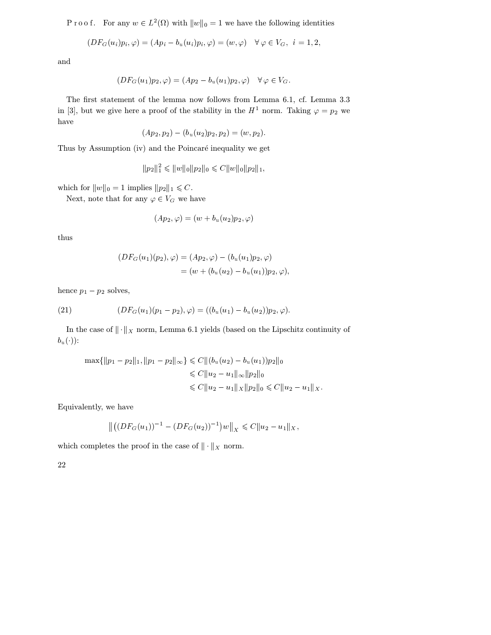P r o o f. For any  $w \in L^2(\Omega)$  with  $||w||_0 = 1$  we have the following identities

$$
(DF_G(u_i)p_i, \varphi) = (Ap_i - b_u(u_i)p_i, \varphi) = (w, \varphi) \quad \forall \varphi \in V_G, \ \ i = 1, 2,
$$

and

$$
(DF_G(u_1)p_2, \varphi) = (Ap_2 - b_u(u_1)p_2, \varphi) \quad \forall \varphi \in V_G.
$$

The first statement of the lemma now follows from Lemma 6.1, cf. Lemma 3.3 in [3], but we give here a proof of the stability in the  $H^1$  norm. Taking  $\varphi = p_2$  we have

$$
(Ap_2, p_2) - (b_u(u_2)p_2, p_2) = (w, p_2).
$$

Thus by Assumption (iv) and the Poincaré inequality we get

$$
||p_2||_1^2 \le ||w||_0 ||p_2||_0 \le C||w||_0 ||p_2||_1,
$$

which for  $||w||_0 = 1$  implies  $||p_2||_1 \leq C$ .

Next, note that for any  $\varphi \in V_G$  we have

$$
(Ap_2,\varphi)=(w+b_u(u_2)p_2,\varphi)
$$

thus

$$
(DF_G(u_1)(p_2), \varphi) = (Ap_2, \varphi) - (b_u(u_1)p_2, \varphi)
$$
  
=  $(w + (b_u(u_2) - b_u(u_1))p_2, \varphi),$ 

hence  $p_1 - p_2$  solves,

(21) 
$$
(DF_G(u_1)(p_1 - p_2), \varphi) = ((b_u(u_1) - b_u(u_2))p_2, \varphi).
$$

In the case of  $\|\cdot\|_X$  norm, Lemma 6.1 yields (based on the Lipschitz continuity of  $b_u(\cdot)$ :

$$
\max\{\|p_1 - p_2\|_1, \|p_1 - p_2\|_{\infty}\} \leq C \|(b_u(u_2) - b_u(u_1))p_2\|_0
$$
  

$$
\leq C \|u_2 - u_1\|_{\infty} \|p_2\|_0
$$
  

$$
\leq C \|u_2 - u_1\|_X \|p_2\|_0 \leq C \|u_2 - u_1\|_X.
$$

Equivalently, we have

$$
\left\| \left( (DF_G(u_1))^{-1} - (DF_G(u_2))^{-1} \right) w \right\|_X \leqslant C \|u_2 - u_1\|_X,
$$

which completes the proof in the case of  $\|\cdot\|_X$  norm.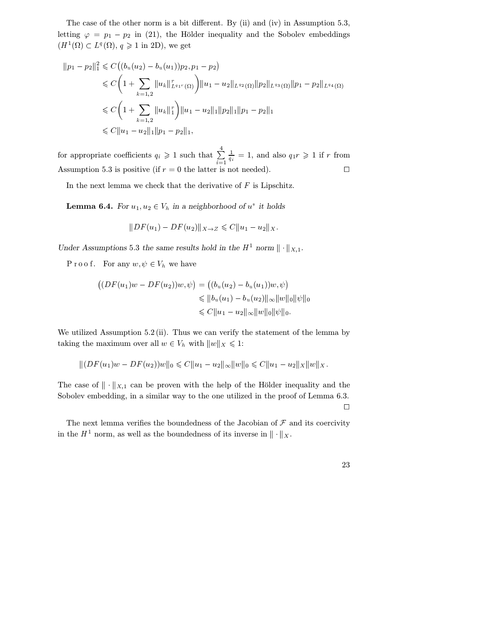The case of the other norm is a bit different. By (ii) and (iv) in Assumption 5.3, letting  $\varphi = p_1 - p_2$  in (21), the Hölder inequality and the Sobolev embeddings  $(H^1(\Omega) \subset L^q(\Omega), q \geq 1$  in 2D), we get

$$
\|p_1 - p_2\|_1^2 \leq C \left( (b_u(u_2) - b_u(u_1)) p_2, p_1 - p_2 \right)
$$
  
\$\leq C \left( 1 + \sum\_{k=1,2} \|u\_k\|\_{L^{q\_1 r}(\Omega)}^r \right) \|u\_1 - u\_2\|\_{L^{q\_2}(\Omega)} \|p\_2\|\_{L^{q\_3}(\Omega)} \|p\_1 - p\_2\|\_{L^{q\_4}(\Omega)}\$  
\$\leq C \left( 1 + \sum\_{k=1,2} \|u\_k\|\_1^r \right) \|u\_1 - u\_2\|\_1 \|p\_2\|\_1 \|p\_1 - p\_2\|\_1\$  
\$\leq C \|u\_1 - u\_2\|\_1 \|p\_1 - p\_2\|\_1\$,

for appropriate coefficients  $q_i \geq 1$  such that  $\sum_{i=1}^{4} \frac{1}{q_i} = 1$ , and also  $i=1$  $\frac{1}{q_i} = 1$ , and also  $q_1 r \geq 1$  if r from Assumption 5.3 is positive (if  $r = 0$  the latter is not needed).

In the next lemma we check that the derivative of  $F$  is Lipschitz.

**Lemma 6.4.** For  $u_1, u_2 \in V_h$  in a neighborhood of  $u^*$  it holds

$$
||DF(u_1) - DF(u_2)||_{X \to Z} \leq C||u_1 - u_2||_X.
$$

Under Assumptions 5.3 the same results hold in the  $H^1$  norm  $\|\cdot\|_{X,1}$ .

P r o o f. For any  $w, \psi \in V_h$  we have

$$
((DF(u_1)w - DF(u_2))w, \psi) = ((b_u(u_2) - b_u(u_1))w, \psi)
$$
  
\n
$$
\leq ||b_u(u_1) - b_u(u_2)||_{\infty} ||w||_0 ||\psi||_0
$$
  
\n
$$
\leq C ||u_1 - u_2||_{\infty} ||w||_0 ||\psi||_0.
$$

We utilized Assumption 5.2 (ii). Thus we can verify the statement of the lemma by taking the maximum over all  $w \in V_h$  with  $||w||_X \leq 1$ :

$$
|| (DF(u_1)w - DF(u_2))w||_0 \leq C||u_1 - u_2||_{\infty} ||w||_0 \leq C||u_1 - u_2||_X ||w||_X.
$$

The case of  $\|\cdot\|_{X,1}$  can be proven with the help of the Hölder inequality and the Sobolev embedding, in a similar way to the one utilized in the proof of Lemma 6.3.

The next lemma verifies the boundedness of the Jacobian of  $\mathcal F$  and its coercivity in the  $H^1$  norm, as well as the boundedness of its inverse in  $\|\cdot\|_X$ .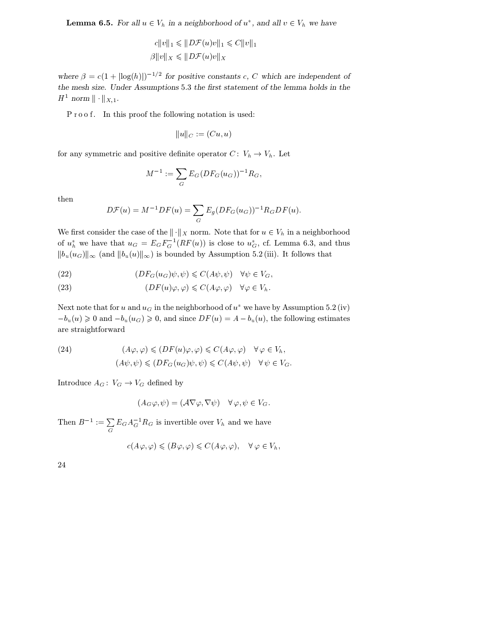**Lemma 6.5.** For all  $u \in V_h$  in a neighborhood of  $u^*$ , and all  $v \in V_h$  we have

$$
c||v||_1 \le ||D\mathcal{F}(u)v||_1 \le C||v||_1
$$
  

$$
\beta||v||_X \le ||D\mathcal{F}(u)v||_X
$$

where  $\beta = c(1 + |\log(h)|)^{-1/2}$  for positive constants c, C which are independent of the mesh size. Under Assumptions 5.3 the first statement of the lemma holds in the  $H^1$  norm  $\|\cdot\|_{X,1}$ .

P r o o f. In this proof the following notation is used:

$$
||u||_C := (Cu, u)
$$

for any symmetric and positive definite operator  $C: V_h \to V_h$ . Let

$$
M^{-1} := \sum_G E_G (DF_G(u_G))^{-1} R_G,
$$

then

$$
D\mathcal{F}(u) = M^{-1}DF(u) = \sum_G E_g (DF_G(u_G))^{-1}R_G DF(u).
$$

We first consider the case of the  $\|\cdot\|_X$  norm. Note that for  $u \in V_h$  in a neighborhood of  $u_h^*$  we have that  $u_G = E_G F_G^{-1}(RF(u))$  is close to  $u_G^*$ , cf. Lemma 6.3, and thus  $||b_u(u_G)||_{\infty}$  (and  $||b_u(u)||_{\infty}$ ) is bounded by Assumption 5.2 (iii). It follows that

(22) 
$$
(DF_G(u_G)\psi, \psi) \leq C(A\psi, \psi) \quad \forall \psi \in V_G,
$$

(23) 
$$
(DF(u)\varphi, \varphi) \leq C(A\varphi, \varphi) \quad \forall \varphi \in V_h.
$$

Next note that for u and  $u_G$  in the neighborhood of  $u^*$  we have by Assumption 5.2 (iv)  $-b_u(u) \geq 0$  and  $-b_u(u_G) \geq 0$ , and since  $DF(u) = A - b_u(u)$ , the following estimates are straightforward

(24) 
$$
(A\varphi, \varphi) \le (DF(u)\varphi, \varphi) \le C(A\varphi, \varphi) \quad \forall \varphi \in V_h,
$$

$$
(A\psi, \psi) \le (DF_G(u_G)\psi, \psi) \le C(A\psi, \psi) \quad \forall \psi \in V_G.
$$

Introduce  $A_G: V_G \to V_G$  defined by

$$
(A_G\varphi,\psi)=(\mathcal{A}\nabla\varphi,\nabla\psi)\quad\forall\,\varphi,\psi\in V_G.
$$

Then  $B^{-1} := \sum E_G A_G^{-1} R_G$  is invertible over  $V_h$  and we have

$$
c(A\varphi,\varphi)\leqslant (B\varphi,\varphi)\leqslant C(A\varphi,\varphi),\quad \forall \varphi\in V_h,
$$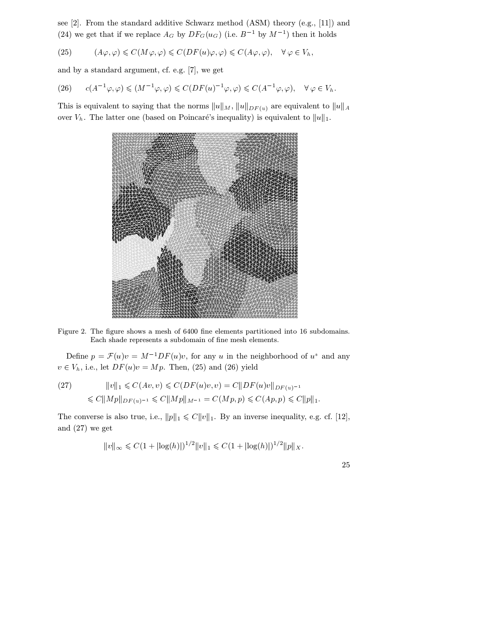see [2]. From the standard additive Schwarz method (ASM) theory (e.g., [11]) and (24) we get that if we replace  $A_G$  by  $DF_G(u_G)$  (i.e.  $B^{-1}$  by  $M^{-1}$ ) then it holds

(25) 
$$
(A\varphi, \varphi) \leq C(M\varphi, \varphi) \leq C(DF(u)\varphi, \varphi) \leq C(A\varphi, \varphi), \quad \forall \varphi \in V_h,
$$

and by a standard argument, cf. e.g. [7], we get

$$
(26) \qquad c(A^{-1}\varphi,\varphi) \leq (M^{-1}\varphi,\varphi) \leq C(DF(u)^{-1}\varphi,\varphi) \leq C(A^{-1}\varphi,\varphi), \quad \forall \varphi \in V_h.
$$

This is equivalent to saying that the norms  $||u||_M$ ,  $||u||_{DF(u)}$  are equivalent to  $||u||_A$ over  $V_h$ . The latter one (based on Poincaré's inequality) is equivalent to  $||u||_1$ .



Figure 2. The figure shows a mesh of 6400 fine elements partitioned into 16 subdomains. Each shade represents a subdomain of fine mesh elements.

Define  $p = \mathcal{F}(u)v = M^{-1}DF(u)v$ , for any u in the neighborhood of  $u^*$  and any  $v \in V_h$ , i.e., let  $DF(u)v = Mp$ . Then, (25) and (26) yield

(27) 
$$
||v||_1 \leq C(Av, v) \leq C(DF(u)v, v) = C||DF(u)v||_{DF(u)^{-1}} \leq C||Mp||_{DF(u)^{-1}} \leq C||Mp||_{M^{-1}} = C(Mp, p) \leq C(Ap, p) \leq C||p||_1.
$$

The converse is also true, i.e.,  $||p||_1 \leq C ||v||_1$ . By an inverse inequality, e.g. cf. [12], and (27) we get

$$
||v||_{\infty} \leq C(1+|\log(h)|)^{1/2}||v||_1 \leq C(1+|\log(h)|)^{1/2}||p||_X.
$$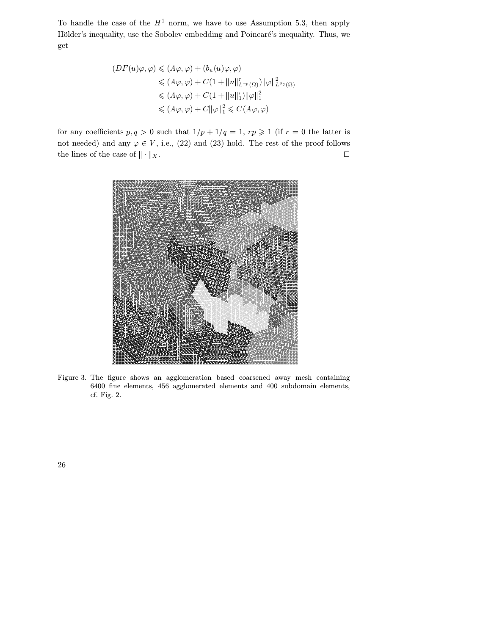To handle the case of the  $H^1$  norm, we have to use Assumption 5.3, then apply Hölder's inequality, use the Sobolev embedding and Poincaré's inequality. Thus, we get

$$
(DF(u)\varphi, \varphi) \leq (A\varphi, \varphi) + (b_u(u)\varphi, \varphi)
$$
  
\n
$$
\leq (A\varphi, \varphi) + C(1 + \|u\|_{L^{rp}(\Omega)}^r) \|\varphi\|_{L^{2q}(\Omega)}^2
$$
  
\n
$$
\leq (A\varphi, \varphi) + C(1 + \|u\|_1^r) \|\varphi\|_1^2
$$
  
\n
$$
\leq (A\varphi, \varphi) + C \|\varphi\|_1^2 \leq C(A\varphi, \varphi)
$$

for any coefficients  $p, q > 0$  such that  $1/p + 1/q = 1$ ,  $rp \ge 1$  (if  $r = 0$  the latter is not needed) and any  $\varphi \in V$ , i.e., (22) and (23) hold. The rest of the proof follows the lines of the case of  $\|\cdot\|_X.$  $\parallel$ x.



Figure 3. The figure shows an agglomeration based coarsened away mesh containing 6400 fine elements, 456 agglomerated elements and 400 subdomain elements, cf. Fig. 2.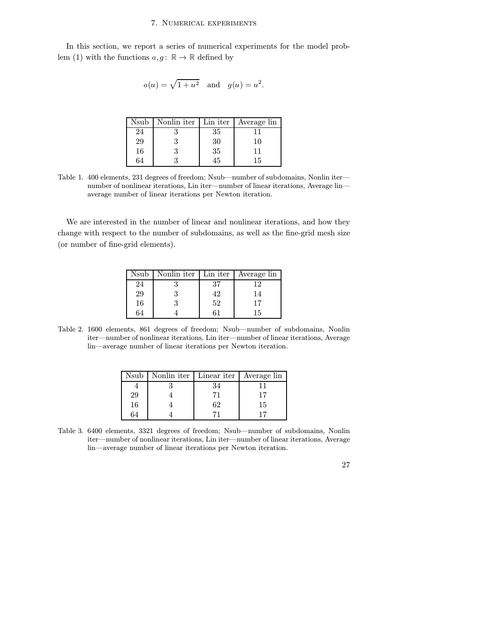#### 7. Numerical experiments

In this section, we report a series of numerical experiments for the model problem (1) with the functions  $a, g: \mathbb{R} \to \mathbb{R}$  defined by

$$
a(u) = \sqrt{1 + u^2}
$$
 and  $g(u) = u^2$ .

| Nsub | Nonlin iter | Lin iter | Average lin |
|------|-------------|----------|-------------|
| 24   |             | 35       |             |
| 29   | 3           | 30       | 10          |
| 16   | 3           | 35       | 11          |
| 64   |             | l.h      | 15          |

Table 1. 400 elements, 231 degrees of freedom; Nsub—number of subdomains, Nonlin iter number of nonlinear iterations, Lin iter—number of linear iterations, Average lin average number of linear iterations per Newton iteration.

We are interested in the number of linear and nonlinear iterations, and how they change with respect to the number of subdomains, as well as the fine-grid mesh size (or number of fine-grid elements).

| Nsub      | Nonlin iter | Lin iter | Average lin |
|-----------|-------------|----------|-------------|
| 24        |             | 37       | 12          |
| <b>29</b> |             | 42       | 14          |
| 16        |             | 52       | 17          |
| 64        |             |          | 15          |

Table 2. 1600 elements, 861 degrees of freedom; Nsub—number of subdomains, Nonlin iter—number of nonlinear iterations, Lin iter—number of linear iterations, Average lin—average number of linear iterations per Newton iteration.

|    | Nsub   Nonlin iter   Linear iter   Average lin |    |    |
|----|------------------------------------------------|----|----|
|    |                                                |    |    |
| 29 |                                                |    |    |
| 16 |                                                | 62 | 15 |
| 64 |                                                |    |    |

Table 3. 6400 elements, 3321 degrees of freedom; Nsub—number of subdomains, Nonlin iter—number of nonlinear iterations, Lin iter—number of linear iterations, Average lin—average number of linear iterations per Newton iteration.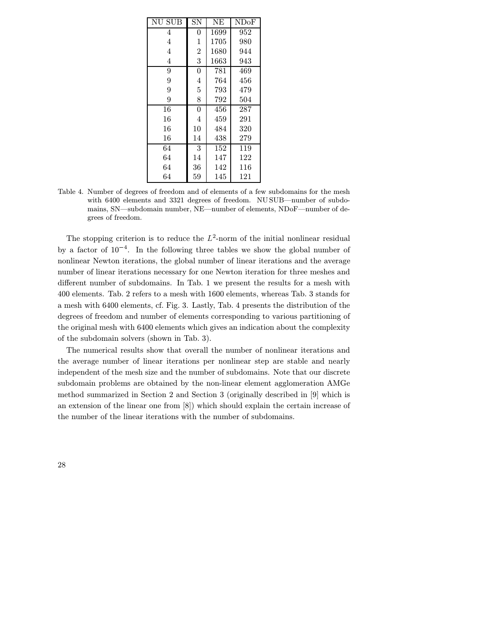| NU SUB         | SΝ             | NΕ   | NDoF |
|----------------|----------------|------|------|
| 4              | $\overline{0}$ | 1699 | 952  |
| $\overline{4}$ | $\mathbf 1$    | 1705 | 980  |
| 4              | $\overline{2}$ | 1680 | 944  |
| 4              | 3              | 1663 | 943  |
| 9              | $\overline{0}$ | 781  | 469  |
| 9              | 4              | 764  | 456  |
| 9              | $\overline{5}$ | 793  | 479  |
| 9              | 8              | 792  | 504  |
| 16             | $\overline{0}$ | 456  | 287  |
| 16             | 4              | 459  | 291  |
| 16             | 10             | 484  | 320  |
| 16             | 14             | 438  | 279  |
| 64             | 3              | 152  | 119  |
| 64             | 14             | 147  | 122  |
| 64             | 36             | 142  | 116  |
| 64             | 59             | 145  | 121  |

Table 4. Number of degrees of freedom and of elements of a few subdomains for the mesh with 6400 elements and 3321 degrees of freedom. NU SUB—number of subdomains, SN—subdomain number, NE—number of elements, NDoF—number of degrees of freedom.

The stopping criterion is to reduce the  $L^2$ -norm of the initial nonlinear residual by a factor of  $10^{-4}$ . In the following three tables we show the global number of nonlinear Newton iterations, the global number of linear iterations and the average number of linear iterations necessary for one Newton iteration for three meshes and different number of subdomains. In Tab. 1 we present the results for a mesh with 400 elements. Tab. 2 refers to a mesh with 1600 elements, whereas Tab. 3 stands for a mesh with 6400 elements, cf. Fig. 3. Lastly, Tab. 4 presents the distribution of the degrees of freedom and number of elements corresponding to various partitioning of the original mesh with 6400 elements which gives an indication about the complexity of the subdomain solvers (shown in Tab. 3).

The numerical results show that overall the number of nonlinear iterations and the average number of linear iterations per nonlinear step are stable and nearly independent of the mesh size and the number of subdomains. Note that our discrete subdomain problems are obtained by the non-linear element agglomeration AMGe method summarized in Section 2 and Section 3 (originally described in [9] which is an extension of the linear one from [8]) which should explain the certain increase of the number of the linear iterations with the number of subdomains.